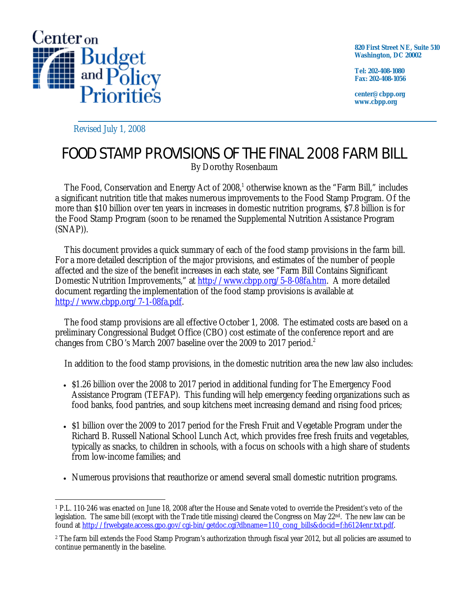

**820 First Street NE, Suite 510 Washington, DC 20002** 

**Tel: 202-408-1080 Fax: 202-408-1056** 

**center@cbpp.org www.cbpp.org** 

Revised July 1, 2008

## FOOD STAMP PROVISIONS OF THE FINAL 2008 FARM BILL

By Dorothy Rosenbaum

The Food, Conservation and Energy Act of 2008,<sup>1</sup> otherwise known as the "Farm Bill," includes a significant nutrition title that makes numerous improvements to the Food Stamp Program. Of the more than \$10 billion over ten years in increases in domestic nutrition programs, \$7.8 billion is for the Food Stamp Program (soon to be renamed the Supplemental Nutrition Assistance Program (SNAP)).

This document provides a quick summary of each of the food stamp provisions in the farm bill. For a more detailed description of the major provisions, and estimates of the number of people affected and the size of the benefit increases in each state, see "Farm Bill Contains Significant Domestic Nutrition Improvements," at http://www.cbpp.org/5-8-08fa.htm. A more detailed document regarding the implementation of the food stamp provisions is available at http://www.cbpp.org/7-1-08fa.pdf.

The food stamp provisions are all effective October 1, 2008. The estimated costs are based on a preliminary Congressional Budget Office (CBO) cost estimate of the conference report and are changes from CBO's March 2007 baseline over the 2009 to 2017 period.<sup>2</sup>

In addition to the food stamp provisions, in the domestic nutrition area the new law also includes:

- \$1.26 billion over the 2008 to 2017 period in additional funding for The Emergency Food Assistance Program (TEFAP). This funding will help emergency feeding organizations such as food banks, food pantries, and soup kitchens meet increasing demand and rising food prices;
- \$1 billion over the 2009 to 2017 period for the Fresh Fruit and Vegetable Program under the Richard B. Russell National School Lunch Act, which provides free fresh fruits and vegetables, typically as snacks, to children in schools, with a focus on schools with a high share of students from low-income families; and
- Numerous provisions that reauthorize or amend several small domestic nutrition programs.

 $\overline{a}$ 1 P.L. 110-246 was enacted on June 18, 2008 after the House and Senate voted to override the President's veto of the legislation. The same bill (except with the Trade title missing) cleared the Congress on May 22nd. The new law can be found at http://frwebgate.access.gpo.gov/cgi-bin/getdoc.cgi?dbname=110\_cong\_bills&docid=f:h6124enr.txt.pdf.

<sup>&</sup>lt;sup>2</sup> The farm bill extends the Food Stamp Program's authorization through fiscal year 2012, but all policies are assumed to continue permanently in the baseline.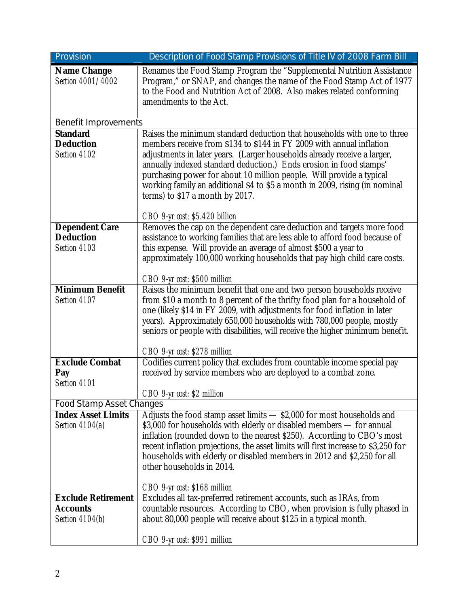| Provision                                                 | Description of Food Stamp Provisions of Title IV of 2008 Farm Bill                                                                                                                                                                                                                                                                                                                                                                                                                          |
|-----------------------------------------------------------|---------------------------------------------------------------------------------------------------------------------------------------------------------------------------------------------------------------------------------------------------------------------------------------------------------------------------------------------------------------------------------------------------------------------------------------------------------------------------------------------|
| <b>Name Change</b><br>Section 4001/4002                   | Renames the Food Stamp Program the "Supplemental Nutrition Assistance<br>Program," or SNAP, and changes the name of the Food Stamp Act of 1977<br>to the Food and Nutrition Act of 2008. Also makes related conforming<br>amendments to the Act.                                                                                                                                                                                                                                            |
| <b>Benefit Improvements</b>                               |                                                                                                                                                                                                                                                                                                                                                                                                                                                                                             |
| <b>Standard</b><br><b>Deduction</b><br>Section 4102       | Raises the minimum standard deduction that households with one to three<br>members receive from \$134 to \$144 in FY 2009 with annual inflation<br>adjustments in later years. (Larger households already receive a larger,<br>annually indexed standard deduction.) Ends erosion in food stamps'<br>purchasing power for about 10 million people. Will provide a typical<br>working family an additional \$4 to \$5 a month in 2009, rising (in nominal<br>terms) to \$17 a month by 2017. |
|                                                           | CBO 9-yr cost: \$5.420 billion                                                                                                                                                                                                                                                                                                                                                                                                                                                              |
| <b>Dependent Care</b><br><b>Deduction</b><br>Section 4103 | Removes the cap on the dependent care deduction and targets more food<br>assistance to working families that are less able to afford food because of<br>this expense. Will provide an average of almost \$500 a year to<br>approximately 100,000 working households that pay high child care costs.                                                                                                                                                                                         |
|                                                           | CBO 9-yr cost: \$500 million                                                                                                                                                                                                                                                                                                                                                                                                                                                                |
| <b>Minimum Benefit</b><br>Section 4107                    | Raises the minimum benefit that one and two person households receive<br>from \$10 a month to 8 percent of the thrifty food plan for a household of<br>one (likely \$14 in FY 2009, with adjustments for food inflation in later<br>years). Approximately 650,000 households with 780,000 people, mostly<br>seniors or people with disabilities, will receive the higher minimum benefit.<br>CBO 9-yr cost: \$278 million                                                                   |
| <b>Exclude Combat</b>                                     | Codifies current policy that excludes from countable income special pay                                                                                                                                                                                                                                                                                                                                                                                                                     |
| Pay<br>Section 4101                                       | received by service members who are deployed to a combat zone.<br>CBO 9-yr cost: \$2 million                                                                                                                                                                                                                                                                                                                                                                                                |
| <b>Food Stamp Asset Changes</b>                           |                                                                                                                                                                                                                                                                                                                                                                                                                                                                                             |
| <b>Index Asset Limits</b><br>Section $4104(a)$            | Adjusts the food stamp asset limits - \$2,000 for most households and<br>\$3,000 for households with elderly or disabled members - for annual<br>inflation (rounded down to the nearest \$250). According to CBO's most<br>recent inflation projections, the asset limits will first increase to \$3,250 for<br>households with elderly or disabled members in 2012 and \$2,250 for all<br>other households in 2014.                                                                        |
| <b>Exclude Retirement</b>                                 | CBO 9-yr cost: \$168 million<br>Excludes all tax-preferred retirement accounts, such as IRAs, from                                                                                                                                                                                                                                                                                                                                                                                          |
| <b>Accounts</b><br>Section 4104(b)                        | countable resources. According to CBO, when provision is fully phased in<br>about 80,000 people will receive about \$125 in a typical month.                                                                                                                                                                                                                                                                                                                                                |
|                                                           | CBO 9-yr cost: \$991 million                                                                                                                                                                                                                                                                                                                                                                                                                                                                |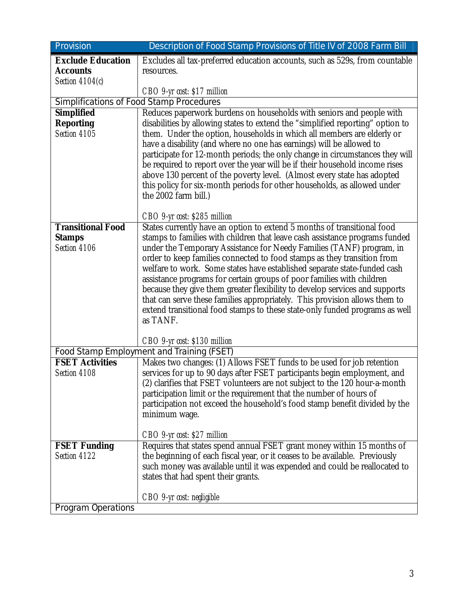| Provision<br>Description of Food Stamp Provisions of Title IV of 2008 Farm Bill |                                                                                                                                                                                                                                                                                                                                                                                                                                                                                                                                                                                |  |
|---------------------------------------------------------------------------------|--------------------------------------------------------------------------------------------------------------------------------------------------------------------------------------------------------------------------------------------------------------------------------------------------------------------------------------------------------------------------------------------------------------------------------------------------------------------------------------------------------------------------------------------------------------------------------|--|
| <b>Exclude Education</b>                                                        | Excludes all tax-preferred education accounts, such as 529s, from countable                                                                                                                                                                                                                                                                                                                                                                                                                                                                                                    |  |
| <b>Accounts</b>                                                                 | resources.                                                                                                                                                                                                                                                                                                                                                                                                                                                                                                                                                                     |  |
| Section 4104(c)                                                                 |                                                                                                                                                                                                                                                                                                                                                                                                                                                                                                                                                                                |  |
|                                                                                 | $CBO$ 9-yr cost: \$17 million                                                                                                                                                                                                                                                                                                                                                                                                                                                                                                                                                  |  |
| <b>Simplifications of Food Stamp Procedures</b>                                 |                                                                                                                                                                                                                                                                                                                                                                                                                                                                                                                                                                                |  |
| <b>Simplified</b>                                                               | Reduces paperwork burdens on households with seniors and people with                                                                                                                                                                                                                                                                                                                                                                                                                                                                                                           |  |
| <b>Reporting</b><br>Section 4105                                                | disabilities by allowing states to extend the "simplified reporting" option to<br>them. Under the option, households in which all members are elderly or<br>have a disability (and where no one has earnings) will be allowed to<br>participate for 12-month periods; the only change in circumstances they will<br>be required to report over the year will be if their household income rises<br>above 130 percent of the poverty level. (Almost every state has adopted<br>this policy for six-month periods for other households, as allowed under<br>the 2002 farm bill.) |  |
|                                                                                 | CBO 9-yr cost: \$285 million                                                                                                                                                                                                                                                                                                                                                                                                                                                                                                                                                   |  |
| <b>Transitional Food</b><br><b>Stamps</b>                                       | States currently have an option to extend 5 months of transitional food<br>stamps to families with children that leave cash assistance programs funded                                                                                                                                                                                                                                                                                                                                                                                                                         |  |
| Section 4106                                                                    | under the Temporary Assistance for Needy Families (TANF) program, in                                                                                                                                                                                                                                                                                                                                                                                                                                                                                                           |  |
|                                                                                 | order to keep families connected to food stamps as they transition from<br>welfare to work. Some states have established separate state-funded cash<br>assistance programs for certain groups of poor families with children<br>because they give them greater flexibility to develop services and supports<br>that can serve these families appropriately. This provision allows them to<br>extend transitional food stamps to these state-only funded programs as well<br>as TANF.<br>CBO 9-yr cost: \$130 million                                                           |  |
|                                                                                 | Food Stamp Employment and Training (FSET)                                                                                                                                                                                                                                                                                                                                                                                                                                                                                                                                      |  |
| <b>FSET Activities</b><br>Section 4108                                          | Makes two changes: (1) Allows FSET funds to be used for job retention<br>services for up to 90 days after FSET participants begin employment, and<br>(2) clarifies that FSET volunteers are not subject to the 120 hour-a-month<br>participation limit or the requirement that the number of hours of<br>participation not exceed the household's food stamp benefit divided by the<br>minimum wage.                                                                                                                                                                           |  |
|                                                                                 | CBO 9-yr cost: \$27 million                                                                                                                                                                                                                                                                                                                                                                                                                                                                                                                                                    |  |
| <b>FSET Funding</b><br>Section 4122                                             | Requires that states spend annual FSET grant money within 15 months of<br>the beginning of each fiscal year, or it ceases to be available. Previously<br>such money was available until it was expended and could be reallocated to<br>states that had spent their grants.                                                                                                                                                                                                                                                                                                     |  |
|                                                                                 | CBO 9-yr cost: negligible                                                                                                                                                                                                                                                                                                                                                                                                                                                                                                                                                      |  |
| <b>Program Operations</b>                                                       |                                                                                                                                                                                                                                                                                                                                                                                                                                                                                                                                                                                |  |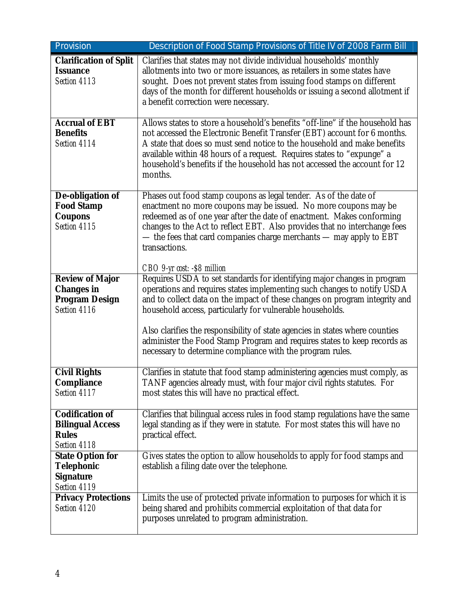| Provision                                                                            | Description of Food Stamp Provisions of Title IV of 2008 Farm Bill                                                                                                                                                                                                                                                                                                                                                                                                                                                      |
|--------------------------------------------------------------------------------------|-------------------------------------------------------------------------------------------------------------------------------------------------------------------------------------------------------------------------------------------------------------------------------------------------------------------------------------------------------------------------------------------------------------------------------------------------------------------------------------------------------------------------|
| <b>Clarification of Split</b><br><b>Issuance</b><br>Section 4113                     | Clarifies that states may not divide individual households' monthly<br>allotments into two or more issuances, as retailers in some states have<br>sought. Does not prevent states from issuing food stamps on different<br>days of the month for different households or issuing a second allotment if<br>a benefit correction were necessary.                                                                                                                                                                          |
| <b>Accrual of EBT</b><br><b>Benefits</b><br>Section 4114                             | Allows states to store a household's benefits "off-line" if the household has<br>not accessed the Electronic Benefit Transfer (EBT) account for 6 months.<br>A state that does so must send notice to the household and make benefits<br>available within 48 hours of a request. Requires states to "expunge" a<br>household's benefits if the household has not accessed the account for 12<br>months.                                                                                                                 |
| De-obligation of<br><b>Food Stamp</b><br><b>Coupons</b><br>Section 4115              | Phases out food stamp coupons as legal tender. As of the date of<br>enactment no more coupons may be issued. No more coupons may be<br>redeemed as of one year after the date of enactment. Makes conforming<br>changes to the Act to reflect EBT. Also provides that no interchange fees<br>- the fees that card companies charge merchants - may apply to EBT<br>transactions.<br>CBO 9-yr cost: -\$8 million                                                                                                         |
| <b>Review of Major</b><br><b>Changes in</b><br><b>Program Design</b><br>Section 4116 | Requires USDA to set standards for identifying major changes in program<br>operations and requires states implementing such changes to notify USDA<br>and to collect data on the impact of these changes on program integrity and<br>household access, particularly for vulnerable households.<br>Also clarifies the responsibility of state agencies in states where counties<br>administer the Food Stamp Program and requires states to keep records as<br>necessary to determine compliance with the program rules. |
| <b>Civil Rights</b><br><b>Compliance</b><br>Section 4117                             | Clarifies in statute that food stamp administering agencies must comply, as<br>TANF agencies already must, with four major civil rights statutes. For<br>most states this will have no practical effect.                                                                                                                                                                                                                                                                                                                |
| <b>Codification of</b><br><b>Bilingual Access</b><br><b>Rules</b><br>Section 4118    | Clarifies that bilingual access rules in food stamp regulations have the same<br>legal standing as if they were in statute. For most states this will have no<br>practical effect.                                                                                                                                                                                                                                                                                                                                      |
| <b>State Option for</b><br>Telephonic<br><b>Signature</b><br>Section 4119            | Gives states the option to allow households to apply for food stamps and<br>establish a filing date over the telephone.                                                                                                                                                                                                                                                                                                                                                                                                 |
| <b>Privacy Protections</b><br>Section 4120                                           | Limits the use of protected private information to purposes for which it is<br>being shared and prohibits commercial exploitation of that data for<br>purposes unrelated to program administration.                                                                                                                                                                                                                                                                                                                     |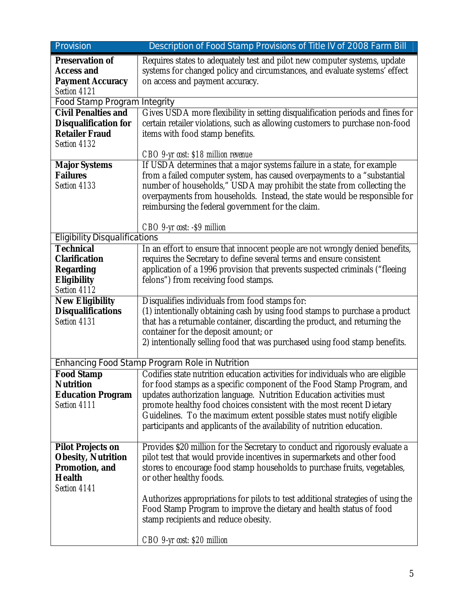| Provision                            | Description of Food Stamp Provisions of Title IV of 2008 Farm Bill                                             |
|--------------------------------------|----------------------------------------------------------------------------------------------------------------|
| <b>Preservation of</b>               | Requires states to adequately test and pilot new computer systems, update                                      |
| <b>Access and</b>                    | systems for changed policy and circumstances, and evaluate systems' effect                                     |
| <b>Payment Accuracy</b>              | on access and payment accuracy.                                                                                |
| Section 4121                         |                                                                                                                |
| <b>Food Stamp Program Integrity</b>  |                                                                                                                |
| <b>Civil Penalties and</b>           | Gives USDA more flexibility in setting disqualification periods and fines for                                  |
| <b>Disqualification for</b>          | certain retailer violations, such as allowing customers to purchase non-food                                   |
| <b>Retailer Fraud</b>                | items with food stamp benefits.                                                                                |
| Section 4132                         |                                                                                                                |
| <b>Major Systems</b>                 | CBO 9-yr cost: \$18 million revenue<br>If USDA determines that a major systems failure in a state, for example |
| <b>Failures</b>                      | from a failed computer system, has caused overpayments to a "substantial                                       |
| Section 4133                         | number of households," USDA may prohibit the state from collecting the                                         |
|                                      | overpayments from households. Instead, the state would be responsible for                                      |
|                                      | reimbursing the federal government for the claim.                                                              |
|                                      |                                                                                                                |
|                                      | CBO 9-yr cost: -\$9 million                                                                                    |
| <b>Eligibility Disqualifications</b> |                                                                                                                |
| <b>Technical</b>                     | In an effort to ensure that innocent people are not wrongly denied benefits,                                   |
| <b>Clarification</b>                 | requires the Secretary to define several terms and ensure consistent                                           |
| <b>Regarding</b>                     | application of a 1996 provision that prevents suspected criminals ("fleeing                                    |
| <b>Eligibility</b>                   | felons") from receiving food stamps.                                                                           |
| Section 4112                         |                                                                                                                |
| <b>New Eligibility</b>               | Disqualifies individuals from food stamps for:                                                                 |
| <b>Disqualifications</b>             | (1) intentionally obtaining cash by using food stamps to purchase a product                                    |
| Section 4131                         | that has a returnable container, discarding the product, and returning the                                     |
|                                      | container for the deposit amount; or                                                                           |
|                                      | 2) intentionally selling food that was purchased using food stamp benefits.                                    |
|                                      | Enhancing Food Stamp Program Role in Nutrition                                                                 |
| <b>Food Stamp</b>                    | Codifies state nutrition education activities for individuals who are eligible                                 |
| <b>Nutrition</b>                     | for food stamps as a specific component of the Food Stamp Program, and                                         |
| <b>Education Program</b>             | updates authorization language. Nutrition Education activities must                                            |
| Section 4111                         | promote healthy food choices consistent with the most recent Dietary                                           |
|                                      | Guidelines. To the maximum extent possible states must notify eligible                                         |
|                                      | participants and applicants of the availability of nutrition education.                                        |
|                                      |                                                                                                                |
| <b>Pilot Projects on</b>             | Provides \$20 million for the Secretary to conduct and rigorously evaluate a                                   |
| <b>Obesity, Nutrition</b>            | pilot test that would provide incentives in supermarkets and other food                                        |
| Promotion, and                       | stores to encourage food stamp households to purchase fruits, vegetables,                                      |
| <b>Health</b>                        | or other healthy foods.                                                                                        |
| Section 4141                         |                                                                                                                |
|                                      |                                                                                                                |
|                                      | Authorizes appropriations for pilots to test additional strategies of using the                                |
|                                      | Food Stamp Program to improve the dietary and health status of food                                            |
|                                      | stamp recipients and reduce obesity.                                                                           |